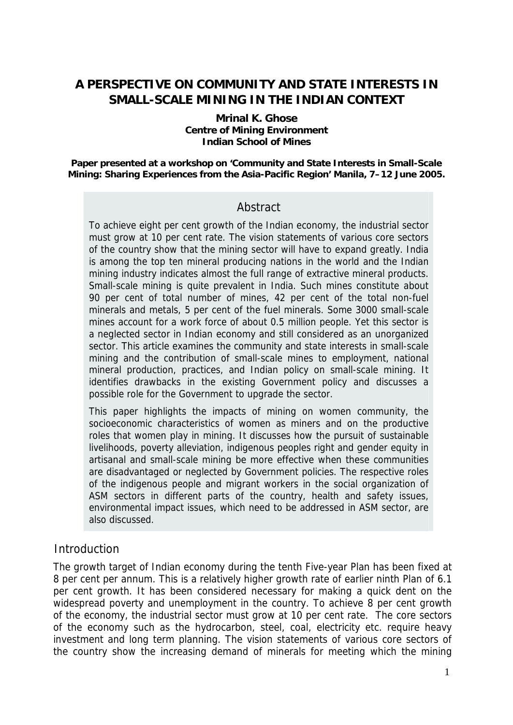# **A PERSPECTIVE ON COMMUNITY AND STATE INTERESTS IN SMALL-SCALE MINING IN THE INDIAN CONTEXT**

#### **Mrinal K. Ghose Centre of Mining Environment Indian School of Mines**

**Paper presented at a workshop on 'Community and State Interests in Small-Scale Mining: Sharing Experiences from the Asia-Pacific Region' Manila, 7–12 June 2005.** 

# Abstract

To achieve eight per cent growth of the Indian economy, the industrial sector must grow at 10 per cent rate. The vision statements of various core sectors of the country show that the mining sector will have to expand greatly. India is among the top ten mineral producing nations in the world and the Indian mining industry indicates almost the full range of extractive mineral products. Small-scale mining is quite prevalent in India. Such mines constitute about 90 per cent of total number of mines, 42 per cent of the total non-fuel minerals and metals, 5 per cent of the fuel minerals. Some 3000 small-scale mines account for a work force of about 0.5 million people. Yet this sector is a neglected sector in Indian economy and still considered as an unorganized sector. This article examines the community and state interests in small-scale mining and the contribution of small-scale mines to employment, national mineral production, practices, and Indian policy on small-scale mining. It identifies drawbacks in the existing Government policy and discusses a possible role for the Government to upgrade the sector.

This paper highlights the impacts of mining on women community, the socioeconomic characteristics of women as miners and on the productive roles that women play in mining. It discusses how the pursuit of sustainable livelihoods, poverty alleviation, indigenous peoples right and gender equity in artisanal and small-scale mining be more effective when these communities are disadvantaged or neglected by Government policies. The respective roles of the indigenous people and migrant workers in the social organization of ASM sectors in different parts of the country, health and safety issues, environmental impact issues, which need to be addressed in ASM sector, are also discussed.

# Introduction

The growth target of Indian economy during the tenth Five-year Plan has been fixed at 8 per cent per annum. This is a relatively higher growth rate of earlier ninth Plan of 6.1 per cent growth. It has been considered necessary for making a quick dent on the widespread poverty and unemployment in the country. To achieve 8 per cent growth of the economy, the industrial sector must grow at 10 per cent rate. The core sectors of the economy such as the hydrocarbon, steel, coal, electricity etc. require heavy investment and long term planning. The vision statements of various core sectors of the country show the increasing demand of minerals for meeting which the mining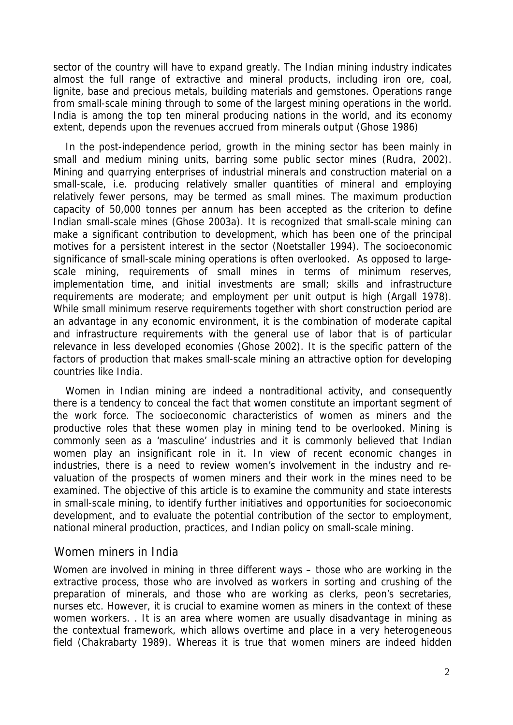sector of the country will have to expand greatly. The Indian mining industry indicates almost the full range of extractive and mineral products, including iron ore, coal, lignite, base and precious metals, building materials and gemstones. Operations range from small-scale mining through to some of the largest mining operations in the world. India is among the top ten mineral producing nations in the world, and its economy extent, depends upon the revenues accrued from minerals output (Ghose 1986)

In the post-independence period, growth in the mining sector has been mainly in small and medium mining units, barring some public sector mines (Rudra, 2002). Mining and quarrying enterprises of industrial minerals and construction material on a small-scale, i.e. producing relatively smaller quantities of mineral and employing relatively fewer persons, may be termed as small mines. The maximum production capacity of 50,000 tonnes per annum has been accepted as the criterion to define Indian small-scale mines (Ghose 2003a). It is recognized that small-scale mining can make a significant contribution to development, which has been one of the principal motives for a persistent interest in the sector (Noetstaller 1994). The socioeconomic significance of small-scale mining operations is often overlooked. As opposed to largescale mining, requirements of small mines in terms of minimum reserves, implementation time, and initial investments are small; skills and infrastructure requirements are moderate; and employment per unit output is high (Argall 1978). While small minimum reserve requirements together with short construction period are an advantage in any economic environment, it is the combination of moderate capital and infrastructure requirements with the general use of labor that is of particular relevance in less developed economies (Ghose 2002). It is the specific pattern of the factors of production that makes small-scale mining an attractive option for developing countries like India.

Women in Indian mining are indeed a nontraditional activity, and consequently there is a tendency to conceal the fact that women constitute an important segment of the work force. The socioeconomic characteristics of women as miners and the productive roles that these women play in mining tend to be overlooked. Mining is commonly seen as a 'masculine' industries and it is commonly believed that Indian women play an insignificant role in it. In view of recent economic changes in industries, there is a need to review women's involvement in the industry and revaluation of the prospects of women miners and their work in the mines need to be examined. The objective of this article is to examine the community and state interests in small-scale mining, to identify further initiatives and opportunities for socioeconomic development, and to evaluate the potential contribution of the sector to employment, national mineral production, practices, and Indian policy on small-scale mining.

#### Women miners in India

Women are involved in mining in three different ways – those who are working in the extractive process, those who are involved as workers in sorting and crushing of the preparation of minerals, and those who are working as clerks, peon's secretaries, nurses etc. However, it is crucial to examine women as miners in the context of these women workers. . It is an area where women are usually disadvantage in mining as the contextual framework, which allows overtime and place in a very heterogeneous field (Chakrabarty 1989). Whereas it is true that women miners are indeed hidden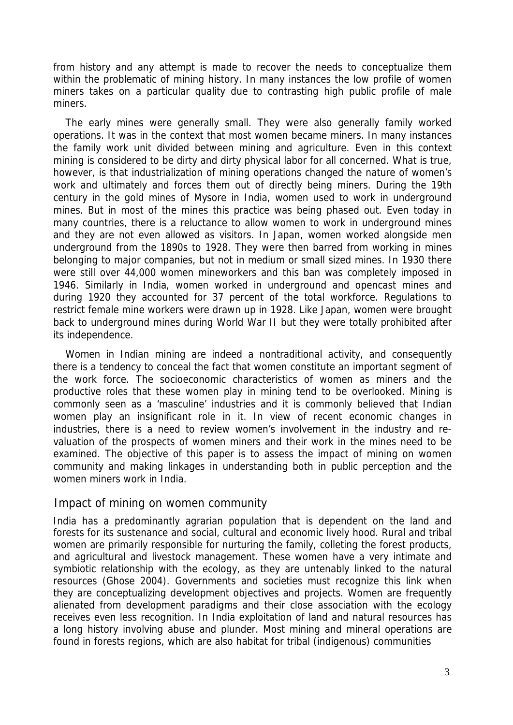from history and any attempt is made to recover the needs to conceptualize them within the problematic of mining history. In many instances the low profile of women miners takes on a particular quality due to contrasting high public profile of male miners.

The early mines were generally small. They were also generally family worked operations. It was in the context that most women became miners. In many instances the family work unit divided between mining and agriculture. Even in this context mining is considered to be dirty and dirty physical labor for all concerned. What is true, however, is that industrialization of mining operations changed the nature of women's work and ultimately and forces them out of directly being miners. During the 19th century in the gold mines of Mysore in India, women used to work in underground mines. But in most of the mines this practice was being phased out. Even today in many countries, there is a reluctance to allow women to work in underground mines and they are not even allowed as visitors. In Japan, women worked alongside men underground from the 1890s to 1928. They were then barred from working in mines belonging to major companies, but not in medium or small sized mines. In 1930 there were still over 44,000 women mineworkers and this ban was completely imposed in 1946. Similarly in India, women worked in underground and opencast mines and during 1920 they accounted for 37 percent of the total workforce. Regulations to restrict female mine workers were drawn up in 1928. Like Japan, women were brought back to underground mines during World War II but they were totally prohibited after its independence.

Women in Indian mining are indeed a nontraditional activity, and consequently there is a tendency to conceal the fact that women constitute an important segment of the work force. The socioeconomic characteristics of women as miners and the productive roles that these women play in mining tend to be overlooked. Mining is commonly seen as a 'masculine' industries and it is commonly believed that Indian women play an insignificant role in it. In view of recent economic changes in industries, there is a need to review women's involvement in the industry and revaluation of the prospects of women miners and their work in the mines need to be examined. The objective of this paper is to assess the impact of mining on women community and making linkages in understanding both in public perception and the women miners work in India.

## Impact of mining on women community

India has a predominantly agrarian population that is dependent on the land and forests for its sustenance and social, cultural and economic lively hood. Rural and tribal women are primarily responsible for nurturing the family, colleting the forest products, and agricultural and livestock management. These women have a very intimate and symbiotic relationship with the ecology, as they are untenably linked to the natural resources (Ghose 2004). Governments and societies must recognize this link when they are conceptualizing development objectives and projects. Women are frequently alienated from development paradigms and their close association with the ecology receives even less recognition. In India exploitation of land and natural resources has a long history involving abuse and plunder. Most mining and mineral operations are found in forests regions, which are also habitat for tribal (indigenous) communities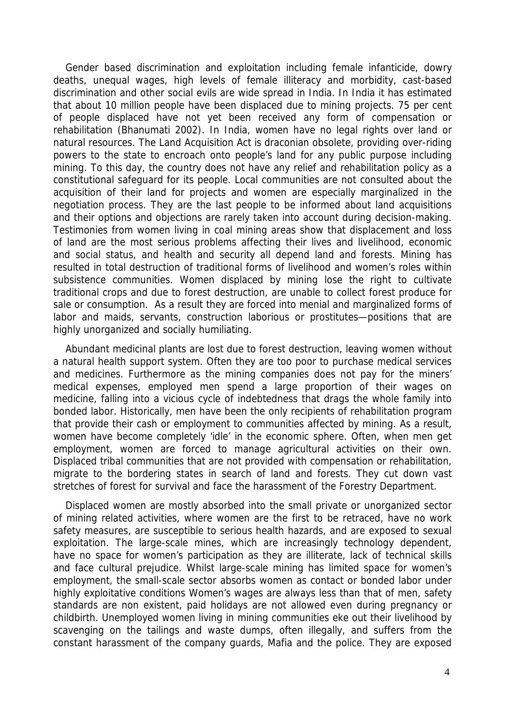Gender based discrimination and exploitation including female infanticide, dowry deaths, unequal wages, high levels of female illiteracy and morbidity, cast-based discrimination and other social evils are wide spread in India. In India it has estimated that about 10 million people have been displaced due to mining projects. 75 per cent of people displaced have not yet been received any form of compensation or rehabilitation (Bhanumati 2002). In India, women have no legal rights over land or natural resources. The Land Acquisition Act is draconian obsolete, providing over-riding powers to the state to encroach onto people's land for any public purpose including mining. To this day, the country does not have any relief and rehabilitation policy as a constitutional safeguard for its people. Local communities are not consulted about the acquisition of their land for projects and women are especially marginalized in the negotiation process. They are the last people to be informed about land acquisitions and their options and objections are rarely taken into account during decision-making. Testimonies from women living in coal mining areas show that displacement and loss of land are the most serious problems affecting their lives and livelihood, economic and social status, and health and security all depend land and forests. Mining has resulted in total destruction of traditional forms of livelihood and women's roles within subsistence communities. Women displaced by mining lose the right to cultivate traditional crops and due to forest destruction, are unable to collect forest produce for sale or consumption. As a result they are forced into menial and marginalized forms of labor and maids, servants, construction laborious or prostitutes—positions that are highly unorganized and socially humiliating.

Abundant medicinal plants are lost due to forest destruction, leaving women without a natural health support system. Often they are too poor to purchase medical services and medicines. Furthermore as the mining companies does not pay for the miners' medical expenses, employed men spend a large proportion of their wages on medicine, falling into a vicious cycle of indebtedness that drags the whole family into bonded labor. Historically, men have been the only recipients of rehabilitation program that provide their cash or employment to communities affected by mining. As a result, women have become completely 'idle' in the economic sphere. Often, when men get employment, women are forced to manage agricultural activities on their own. Displaced tribal communities that are not provided with compensation or rehabilitation, migrate to the bordering states in search of land and forests. They cut down vast stretches of forest for survival and face the harassment of the Forestry Department.

Displaced women are mostly absorbed into the small private or unorganized sector of mining related activities, where women are the first to be retraced, have no work safety measures, are susceptible to serious health hazards, and are exposed to sexual exploitation. The large-scale mines, which are increasingly technology dependent, have no space for women's participation as they are illiterate, lack of technical skills and face cultural prejudice. Whilst large-scale mining has limited space for women's employment, the small-scale sector absorbs women as contact or bonded labor under highly exploitative conditions Women's wages are always less than that of men, safety standards are non existent, paid holidays are not allowed even during pregnancy or childbirth. Unemployed women living in mining communities eke out their livelihood by scavenging on the tailings and waste dumps, often illegally, and suffers from the constant harassment of the company guards, Mafia and the police. They are exposed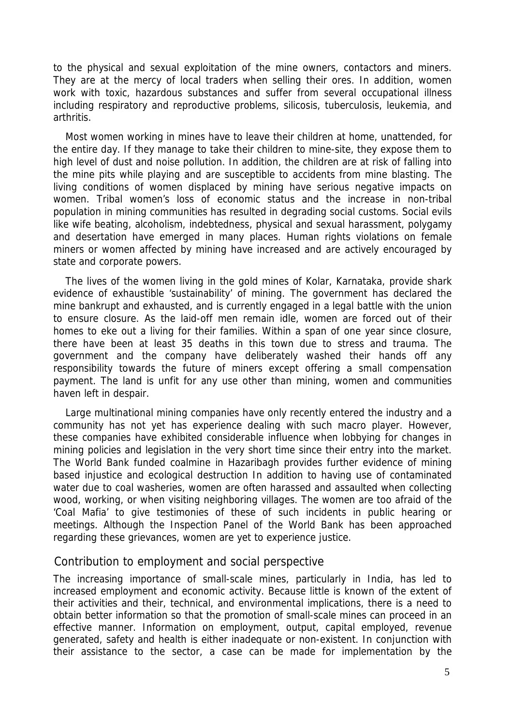to the physical and sexual exploitation of the mine owners, contactors and miners. They are at the mercy of local traders when selling their ores. In addition, women work with toxic, hazardous substances and suffer from several occupational illness including respiratory and reproductive problems, silicosis, tuberculosis, leukemia, and arthritis.

Most women working in mines have to leave their children at home, unattended, for the entire day. If they manage to take their children to mine-site, they expose them to high level of dust and noise pollution. In addition, the children are at risk of falling into the mine pits while playing and are susceptible to accidents from mine blasting. The living conditions of women displaced by mining have serious negative impacts on women. Tribal women's loss of economic status and the increase in non-tribal population in mining communities has resulted in degrading social customs. Social evils like wife beating, alcoholism, indebtedness, physical and sexual harassment, polygamy and desertation have emerged in many places. Human rights violations on female miners or women affected by mining have increased and are actively encouraged by state and corporate powers.

The lives of the women living in the gold mines of Kolar, Karnataka, provide shark evidence of exhaustible 'sustainability' of mining. The government has declared the mine bankrupt and exhausted, and is currently engaged in a legal battle with the union to ensure closure. As the laid-off men remain idle, women are forced out of their homes to eke out a living for their families. Within a span of one year since closure, there have been at least 35 deaths in this town due to stress and trauma. The government and the company have deliberately washed their hands off any responsibility towards the future of miners except offering a small compensation payment. The land is unfit for any use other than mining, women and communities haven left in despair.

Large multinational mining companies have only recently entered the industry and a community has not yet has experience dealing with such macro player. However, these companies have exhibited considerable influence when lobbying for changes in mining policies and legislation in the very short time since their entry into the market. The World Bank funded coalmine in Hazaribagh provides further evidence of mining based injustice and ecological destruction In addition to having use of contaminated water due to coal washeries, women are often harassed and assaulted when collecting wood, working, or when visiting neighboring villages. The women are too afraid of the 'Coal Mafia' to give testimonies of these of such incidents in public hearing or meetings. Although the Inspection Panel of the World Bank has been approached regarding these grievances, women are yet to experience justice.

### Contribution to employment and social perspective

The increasing importance of small-scale mines, particularly in India, has led to increased employment and economic activity. Because little is known of the extent of their activities and their, technical, and environmental implications, there is a need to obtain better information so that the promotion of small-scale mines can proceed in an effective manner. Information on employment, output, capital employed, revenue generated, safety and health is either inadequate or non-existent. In conjunction with their assistance to the sector, a case can be made for implementation by the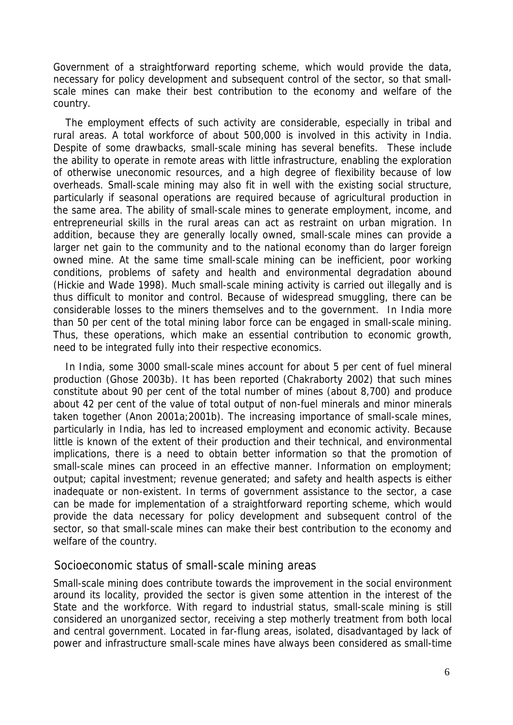Government of a straightforward reporting scheme, which would provide the data, necessary for policy development and subsequent control of the sector, so that smallscale mines can make their best contribution to the economy and welfare of the country.

The employment effects of such activity are considerable, especially in tribal and rural areas. A total workforce of about 500,000 is involved in this activity in India. Despite of some drawbacks, small-scale mining has several benefits. These include the ability to operate in remote areas with little infrastructure, enabling the exploration of otherwise uneconomic resources, and a high degree of flexibility because of low overheads. Small-scale mining may also fit in well with the existing social structure, particularly if seasonal operations are required because of agricultural production in the same area. The ability of small-scale mines to generate employment, income, and entrepreneurial skills in the rural areas can act as restraint on urban migration. In addition, because they are generally locally owned, small-scale mines can provide a larger net gain to the community and to the national economy than do larger foreign owned mine. At the same time small-scale mining can be inefficient, poor working conditions, problems of safety and health and environmental degradation abound (Hickie and Wade 1998). Much small-scale mining activity is carried out illegally and is thus difficult to monitor and control. Because of widespread smuggling, there can be considerable losses to the miners themselves and to the government. In India more than 50 per cent of the total mining labor force can be engaged in small-scale mining. Thus, these operations, which make an essential contribution to economic growth, need to be integrated fully into their respective economics.

In India, some 3000 small-scale mines account for about 5 per cent of fuel mineral production (Ghose 2003b). It has been reported (Chakraborty 2002) that such mines constitute about 90 per cent of the total number of mines (about 8,700) and produce about 42 per cent of the value of total output of non-fuel minerals and minor minerals taken together (Anon 2001a;2001b). The increasing importance of small-scale mines, particularly in India, has led to increased employment and economic activity. Because little is known of the extent of their production and their technical, and environmental implications, there is a need to obtain better information so that the promotion of small-scale mines can proceed in an effective manner. Information on employment; output; capital investment; revenue generated; and safety and health aspects is either inadequate or non-existent. In terms of government assistance to the sector, a case can be made for implementation of a straightforward reporting scheme, which would provide the data necessary for policy development and subsequent control of the sector, so that small-scale mines can make their best contribution to the economy and welfare of the country.

#### Socioeconomic status of small-scale mining areas

Small-scale mining does contribute towards the improvement in the social environment around its locality, provided the sector is given some attention in the interest of the State and the workforce. With regard to industrial status, small-scale mining is still considered an unorganized sector, receiving a step motherly treatment from both local and central government. Located in far-flung areas, isolated, disadvantaged by lack of power and infrastructure small-scale mines have always been considered as small-time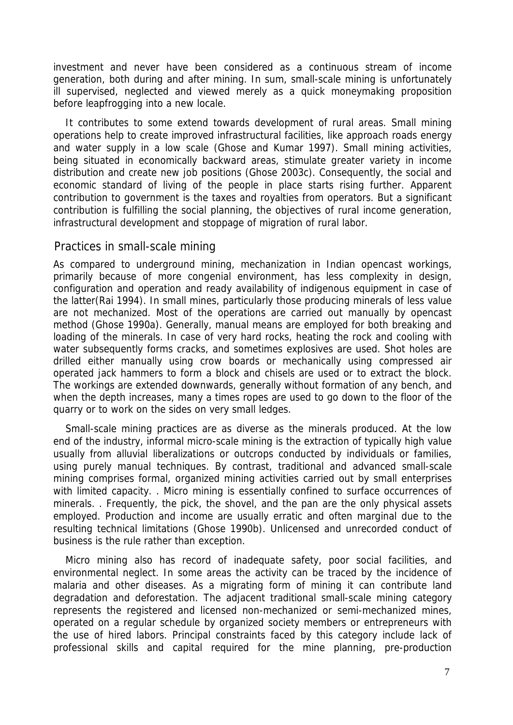investment and never have been considered as a continuous stream of income generation, both during and after mining. In sum, small-scale mining is unfortunately ill supervised, neglected and viewed merely as a quick moneymaking proposition before leapfrogging into a new locale.

It contributes to some extend towards development of rural areas. Small mining operations help to create improved infrastructural facilities, like approach roads energy and water supply in a low scale (Ghose and Kumar 1997). Small mining activities, being situated in economically backward areas, stimulate greater variety in income distribution and create new job positions (Ghose 2003c). Consequently, the social and economic standard of living of the people in place starts rising further. Apparent contribution to government is the taxes and royalties from operators. But a significant contribution is fulfilling the social planning, the objectives of rural income generation, infrastructural development and stoppage of migration of rural labor.

#### Practices in small-scale mining

As compared to underground mining, mechanization in Indian opencast workings, primarily because of more congenial environment, has less complexity in design, configuration and operation and ready availability of indigenous equipment in case of the latter(Rai 1994). In small mines, particularly those producing minerals of less value are not mechanized. Most of the operations are carried out manually by opencast method (Ghose 1990a). Generally, manual means are employed for both breaking and loading of the minerals. In case of very hard rocks, heating the rock and cooling with water subsequently forms cracks, and sometimes explosives are used. Shot holes are drilled either manually using crow boards or mechanically using compressed air operated jack hammers to form a block and chisels are used or to extract the block. The workings are extended downwards, generally without formation of any bench, and when the depth increases, many a times ropes are used to go down to the floor of the quarry or to work on the sides on very small ledges.

Small-scale mining practices are as diverse as the minerals produced. At the low end of the industry, informal micro-scale mining is the extraction of typically high value usually from alluvial liberalizations or outcrops conducted by individuals or families, using purely manual techniques. By contrast, traditional and advanced small-scale mining comprises formal, organized mining activities carried out by small enterprises with limited capacity. . Micro mining is essentially confined to surface occurrences of minerals. . Frequently, the pick, the shovel, and the pan are the only physical assets employed. Production and income are usually erratic and often marginal due to the resulting technical limitations (Ghose 1990b). Unlicensed and unrecorded conduct of business is the rule rather than exception.

Micro mining also has record of inadequate safety, poor social facilities, and environmental neglect. In some areas the activity can be traced by the incidence of malaria and other diseases. As a migrating form of mining it can contribute land degradation and deforestation. The adjacent traditional small-scale mining category represents the registered and licensed non-mechanized or semi-mechanized mines, operated on a regular schedule by organized society members or entrepreneurs with the use of hired labors. Principal constraints faced by this category include lack of professional skills and capital required for the mine planning, pre-production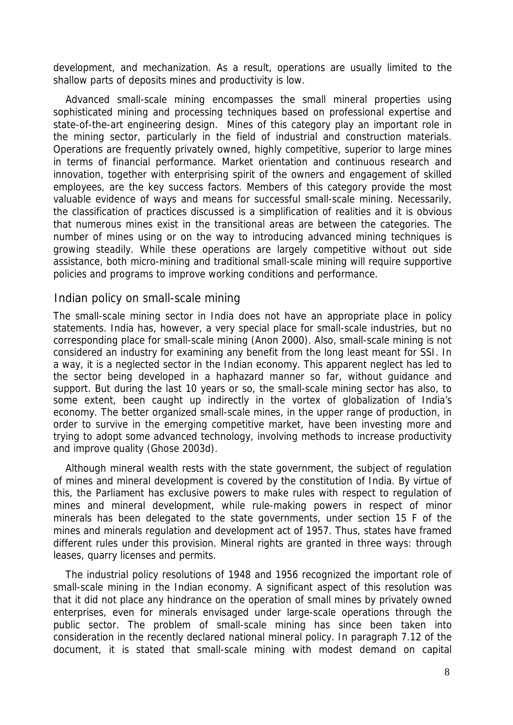development, and mechanization. As a result, operations are usually limited to the shallow parts of deposits mines and productivity is low.

Advanced small-scale mining encompasses the small mineral properties using sophisticated mining and processing techniques based on professional expertise and state-of-the-art engineering design. Mines of this category play an important role in the mining sector, particularly in the field of industrial and construction materials. Operations are frequently privately owned, highly competitive, superior to large mines in terms of financial performance. Market orientation and continuous research and innovation, together with enterprising spirit of the owners and engagement of skilled employees, are the key success factors. Members of this category provide the most valuable evidence of ways and means for successful small-scale mining. Necessarily, the classification of practices discussed is a simplification of realities and it is obvious that numerous mines exist in the transitional areas are between the categories. The number of mines using or on the way to introducing advanced mining techniques is growing steadily. While these operations are largely competitive without out side assistance, both micro-mining and traditional small-scale mining will require supportive policies and programs to improve working conditions and performance.

## Indian policy on small-scale mining

The small-scale mining sector in India does not have an appropriate place in policy statements. India has, however, a very special place for small-scale industries, but no corresponding place for small-scale mining (Anon 2000). Also, small-scale mining is not considered an industry for examining any benefit from the long least meant for SSI. In a way, it is a neglected sector in the Indian economy. This apparent neglect has led to the sector being developed in a haphazard manner so far, without guidance and support. But during the last 10 years or so, the small-scale mining sector has also, to some extent, been caught up indirectly in the vortex of globalization of India's economy. The better organized small-scale mines, in the upper range of production, in order to survive in the emerging competitive market, have been investing more and trying to adopt some advanced technology, involving methods to increase productivity and improve quality (Ghose 2003d).

Although mineral wealth rests with the state government, the subject of regulation of mines and mineral development is covered by the constitution of India. By virtue of this, the Parliament has exclusive powers to make rules with respect to regulation of mines and mineral development, while rule-making powers in respect of minor minerals has been delegated to the state governments, under section 15 F of the mines and minerals regulation and development act of 1957. Thus, states have framed different rules under this provision. Mineral rights are granted in three ways: through leases, quarry licenses and permits.

The industrial policy resolutions of 1948 and 1956 recognized the important role of small-scale mining in the Indian economy. A significant aspect of this resolution was that it did not place any hindrance on the operation of small mines by privately owned enterprises, even for minerals envisaged under large-scale operations through the public sector. The problem of small-scale mining has since been taken into consideration in the recently declared national mineral policy. In paragraph 7.12 of the document, it is stated that small-scale mining with modest demand on capital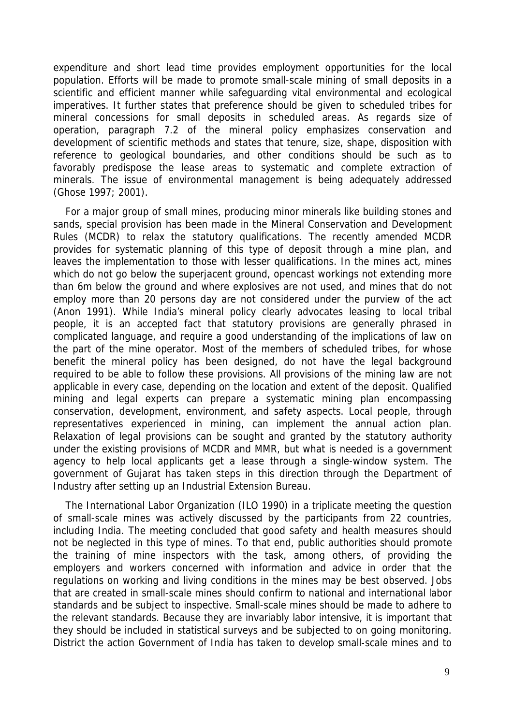expenditure and short lead time provides employment opportunities for the local population. Efforts will be made to promote small-scale mining of small deposits in a scientific and efficient manner while safeguarding vital environmental and ecological imperatives. It further states that preference should be given to scheduled tribes for mineral concessions for small deposits in scheduled areas. As regards size of operation, paragraph 7.2 of the mineral policy emphasizes conservation and development of scientific methods and states that tenure, size, shape, disposition with reference to geological boundaries, and other conditions should be such as to favorably predispose the lease areas to systematic and complete extraction of minerals. The issue of environmental management is being adequately addressed (Ghose 1997; 2001).

For a major group of small mines, producing minor minerals like building stones and sands, special provision has been made in the Mineral Conservation and Development Rules (MCDR) to relax the statutory qualifications. The recently amended MCDR provides for systematic planning of this type of deposit through a mine plan, and leaves the implementation to those with lesser qualifications. In the mines act, mines which do not go below the superjacent ground, opencast workings not extending more than 6m below the ground and where explosives are not used, and mines that do not employ more than 20 persons day are not considered under the purview of the act (Anon 1991). While India's mineral policy clearly advocates leasing to local tribal people, it is an accepted fact that statutory provisions are generally phrased in complicated language, and require a good understanding of the implications of law on the part of the mine operator. Most of the members of scheduled tribes, for whose benefit the mineral policy has been designed, do not have the legal background required to be able to follow these provisions. All provisions of the mining law are not applicable in every case, depending on the location and extent of the deposit. Qualified mining and legal experts can prepare a systematic mining plan encompassing conservation, development, environment, and safety aspects. Local people, through representatives experienced in mining, can implement the annual action plan. Relaxation of legal provisions can be sought and granted by the statutory authority under the existing provisions of MCDR and MMR, but what is needed is a government agency to help local applicants get a lease through a single-window system. The government of Gujarat has taken steps in this direction through the Department of Industry after setting up an Industrial Extension Bureau.

The International Labor Organization (ILO 1990) in a triplicate meeting the question of small-scale mines was actively discussed by the participants from 22 countries, including India. The meeting concluded that good safety and health measures should not be neglected in this type of mines. To that end, public authorities should promote the training of mine inspectors with the task, among others, of providing the employers and workers concerned with information and advice in order that the regulations on working and living conditions in the mines may be best observed. Jobs that are created in small-scale mines should confirm to national and international labor standards and be subject to inspective. Small-scale mines should be made to adhere to the relevant standards. Because they are invariably labor intensive, it is important that they should be included in statistical surveys and be subjected to on going monitoring. District the action Government of India has taken to develop small-scale mines and to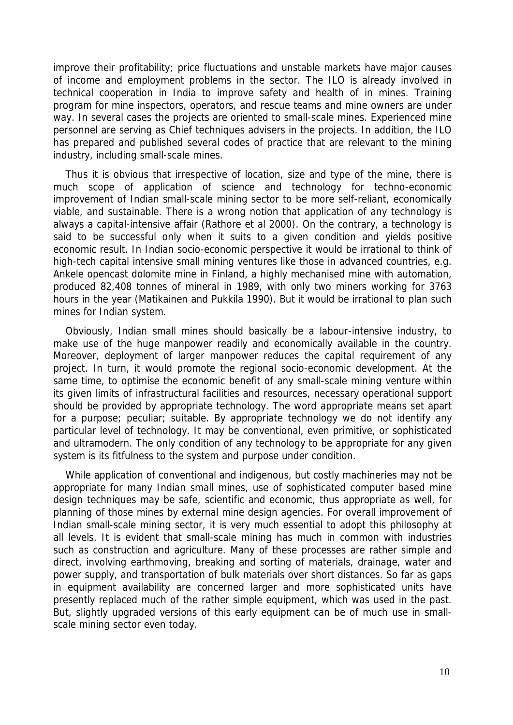improve their profitability; price fluctuations and unstable markets have major causes of income and employment problems in the sector. The ILO is already involved in technical cooperation in India to improve safety and health of in mines. Training program for mine inspectors, operators, and rescue teams and mine owners are under way. In several cases the projects are oriented to small-scale mines. Experienced mine personnel are serving as Chief techniques advisers in the projects. In addition, the ILO has prepared and published several codes of practice that are relevant to the mining industry, including small-scale mines.

Thus it is obvious that irrespective of location, size and type of the mine, there is much scope of application of science and technology for techno-economic improvement of Indian small-scale mining sector to be more self-reliant, economically viable, and sustainable. There is a wrong notion that application of any technology is always a capital-intensive affair (Rathore et al 2000). On the contrary, a technology is said to be successful only when it suits to a given condition and yields positive economic result. In Indian socio-economic perspective it would be irrational to think of high-tech capital intensive small mining ventures like those in advanced countries, e.g. Ankele opencast dolomite mine in Finland, a highly mechanised mine with automation, produced 82,408 tonnes of mineral in 1989, with only two miners working for 3763 hours in the year (Matikainen and Pukkila 1990). But it would be irrational to plan such mines for Indian system.

Obviously, Indian small mines should basically be a labour-intensive industry, to make use of the huge manpower readily and economically available in the country. Moreover, deployment of larger manpower reduces the capital requirement of any project. In turn, it would promote the regional socio-economic development. At the same time, to optimise the economic benefit of any small-scale mining venture within its given limits of infrastructural facilities and resources, necessary operational support should be provided by appropriate technology. The word appropriate means set apart for a purpose; peculiar; suitable. By appropriate technology we do not identify any particular level of technology. It may be conventional, even primitive, or sophisticated and ultramodern. The only condition of any technology to be appropriate for any given system is its fitfulness to the system and purpose under condition.

While application of conventional and indigenous, but costly machineries may not be appropriate for many Indian small mines, use of sophisticated computer based mine design techniques may be safe, scientific and economic, thus appropriate as well, for planning of those mines by external mine design agencies. For overall improvement of Indian small-scale mining sector, it is very much essential to adopt this philosophy at all levels. It is evident that small-scale mining has much in common with industries such as construction and agriculture. Many of these processes are rather simple and direct, involving earthmoving, breaking and sorting of materials, drainage, water and power supply, and transportation of bulk materials over short distances. So far as gaps in equipment availability are concerned larger and more sophisticated units have presently replaced much of the rather simple equipment, which was used in the past. But, slightly upgraded versions of this early equipment can be of much use in smallscale mining sector even today.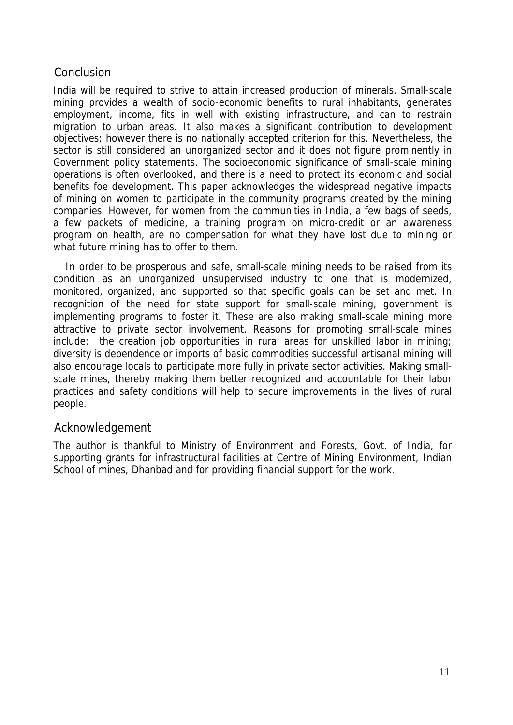## Conclusion

India will be required to strive to attain increased production of minerals. Small-scale mining provides a wealth of socio-economic benefits to rural inhabitants, generates employment, income, fits in well with existing infrastructure, and can to restrain migration to urban areas. It also makes a significant contribution to development objectives; however there is no nationally accepted criterion for this. Nevertheless, the sector is still considered an unorganized sector and it does not figure prominently in Government policy statements. The socioeconomic significance of small-scale mining operations is often overlooked, and there is a need to protect its economic and social benefits foe development. This paper acknowledges the widespread negative impacts of mining on women to participate in the community programs created by the mining companies. However, for women from the communities in India, a few bags of seeds, a few packets of medicine, a training program on micro-credit or an awareness program on health, are no compensation for what they have lost due to mining or what future mining has to offer to them.

In order to be prosperous and safe, small-scale mining needs to be raised from its condition as an unorganized unsupervised industry to one that is modernized, monitored, organized, and supported so that specific goals can be set and met. In recognition of the need for state support for small-scale mining, government is implementing programs to foster it. These are also making small-scale mining more attractive to private sector involvement. Reasons for promoting small-scale mines include: the creation job opportunities in rural areas for unskilled labor in mining; diversity is dependence or imports of basic commodities successful artisanal mining will also encourage locals to participate more fully in private sector activities. Making smallscale mines, thereby making them better recognized and accountable for their labor practices and safety conditions will help to secure improvements in the lives of rural people.

# Acknowledgement

The author is thankful to Ministry of Environment and Forests, Govt. of India, for supporting grants for infrastructural facilities at Centre of Mining Environment, Indian School of mines, Dhanbad and for providing financial support for the work.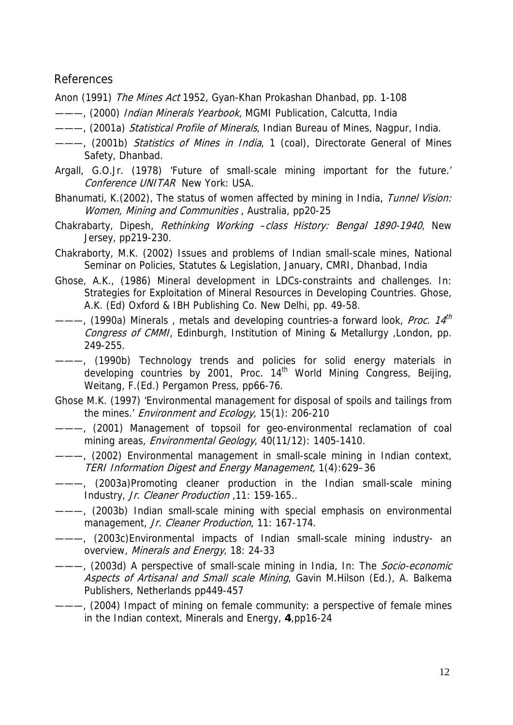#### References

Anon (1991) The Mines Act 1952, Gyan-Khan Prokashan Dhanbad, pp. 1-108

- ———, (2000) *Indian Minerals Yearbook*, MGMI Publication, Calcutta, India
- ———, (2001a) Statistical Profile of Minerals, Indian Bureau of Mines, Nagpur, India.
- ———, (2001b) Statistics of Mines in India, 1 (coal), Directorate General of Mines Safety, Dhanbad.
- Argall, G.O.Jr. (1978) 'Future of small-scale mining important for the future.' Conference UNITAR New York: USA.
- Bhanumati, K.(2002), The status of women affected by mining in India, Tunnel Vision: Women, Mining and Communities, Australia, pp20-25
- Chakrabarty, Dipesh, Rethinking Working –class History: Bengal 1890-1940, New Jersey, pp219-230.
- Chakraborty, M.K. (2002) Issues and problems of Indian small-scale mines, National Seminar on Policies, Statutes & Legislation, January, CMRI, Dhanbad, India
- Ghose, A.K., (1986) Mineral development in LDCs-constraints and challenges. In: Strategies for Exploitation of Mineral Resources in Developing Countries. Ghose, A.K. (Ed) Oxford & IBH Publishing Co. New Delhi, pp. 49-58.
- ———, (1990a) Minerals, metals and developing countries-a forward look, *Proc. 14<sup>th</sup>* Congress of CMMI, Edinburgh, Institution of Mining & Metallurgy , London, pp. 249-255.

---, (1990b) Technology trends and policies for solid energy materials in developing countries by 2001, Proc.  $14<sup>th</sup>$  World Mining Congress, Beijing, Weitang, F.(Ed.) Pergamon Press, pp66-76.

- Ghose M.K. (1997) 'Environmental management for disposal of spoils and tailings from the mines.' *Environment and Ecology*, 15(1): 206-210
- ———, (2001) Management of topsoil for geo-environmental reclamation of coal mining areas, *Environmental Geology*, 40(11/12): 1405-1410.
- ———, (2002) Environmental management in small-scale mining in Indian context, TERI Information Digest and Energy Management, 1(4):629–36
- ———, (2003a)Promoting cleaner production in the Indian small-scale mining Industry, Jr. Cleaner Production ,11: 159-165..
- ———, (2003b) Indian small-scale mining with special emphasis on environmental management, Jr. Cleaner Production, 11: 167-174.
- ———, (2003c)Environmental impacts of Indian small-scale mining industry- an overview, Minerals and Energy, 18: 24-33
- ———, (2003d) A perspective of small-scale mining in India, In: The Socio-economic Aspects of Artisanal and Small scale Mining, Gavin M.Hilson (Ed.), A. Balkema Publishers, Netherlands pp449-457
- ———, (2004) Impact of mining on female community: a perspective of female mines in the Indian context, Minerals and Energy, **4**,pp16-24